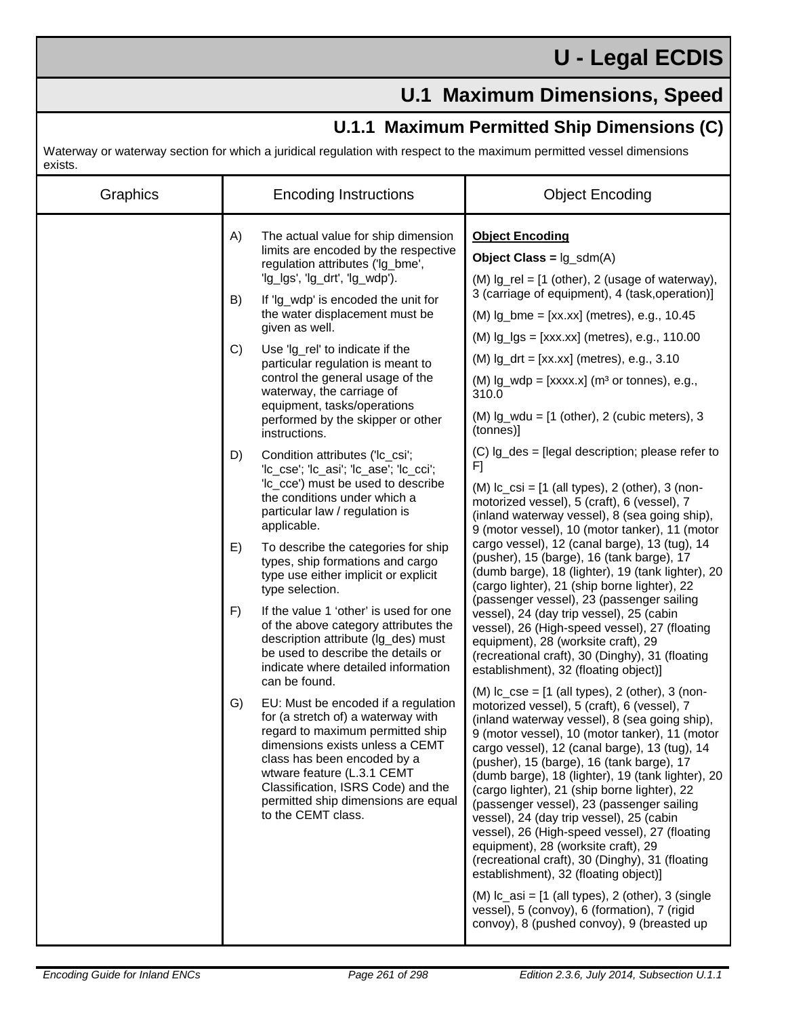## **U - Legal ECDIS**

## **U.1 Maximum Dimensions, Speed**

## **U.1.1 Maximum Permitted Ship Dimensions (C)**

Waterway or waterway section for which a juridical regulation with respect to the maximum permitted vessel dimensions exists.

| Graphics | <b>Encoding Instructions</b>                                                                                                                                                                                                                                                                                                                                                                                                                                                                                                                                                                                                                                                                                                                                                                                                                                                                                                                                                                                                                                                                                                                                                                                                                                                                                                                                                                               | <b>Object Encoding</b>                                                                                                                                                                                                                                                                                                                                                                                                                                                                                                                                                                                                                                                                                                                                                                                                                                                                                                                                                                                                                                                                                                                                                                                                                                                                                                                                                                                                                                                                                                                                                                                                                                                                                                                                                                                                                                                                                               |
|----------|------------------------------------------------------------------------------------------------------------------------------------------------------------------------------------------------------------------------------------------------------------------------------------------------------------------------------------------------------------------------------------------------------------------------------------------------------------------------------------------------------------------------------------------------------------------------------------------------------------------------------------------------------------------------------------------------------------------------------------------------------------------------------------------------------------------------------------------------------------------------------------------------------------------------------------------------------------------------------------------------------------------------------------------------------------------------------------------------------------------------------------------------------------------------------------------------------------------------------------------------------------------------------------------------------------------------------------------------------------------------------------------------------------|----------------------------------------------------------------------------------------------------------------------------------------------------------------------------------------------------------------------------------------------------------------------------------------------------------------------------------------------------------------------------------------------------------------------------------------------------------------------------------------------------------------------------------------------------------------------------------------------------------------------------------------------------------------------------------------------------------------------------------------------------------------------------------------------------------------------------------------------------------------------------------------------------------------------------------------------------------------------------------------------------------------------------------------------------------------------------------------------------------------------------------------------------------------------------------------------------------------------------------------------------------------------------------------------------------------------------------------------------------------------------------------------------------------------------------------------------------------------------------------------------------------------------------------------------------------------------------------------------------------------------------------------------------------------------------------------------------------------------------------------------------------------------------------------------------------------------------------------------------------------------------------------------------------------|
|          | A)<br>The actual value for ship dimension<br>limits are encoded by the respective<br>regulation attributes ('lg_bme',<br>'lg_lgs', 'lg_drt', 'lg_wdp').<br>B)<br>If 'Ig_wdp' is encoded the unit for<br>the water displacement must be<br>given as well.<br>C)<br>Use 'lg_rel' to indicate if the<br>particular regulation is meant to<br>control the general usage of the<br>waterway, the carriage of<br>equipment, tasks/operations<br>performed by the skipper or other<br>instructions.<br>D)<br>Condition attributes ('lc_csi';<br>'lc_cse'; 'lc_asi'; 'lc_ase'; 'lc_cci';<br>'Ic_cce') must be used to describe<br>the conditions under which a<br>particular law / regulation is<br>applicable.<br>To describe the categories for ship<br>E)<br>types, ship formations and cargo<br>type use either implicit or explicit<br>type selection.<br>If the value 1 'other' is used for one<br>F)<br>of the above category attributes the<br>description attribute (Ig_des) must<br>be used to describe the details or<br>indicate where detailed information<br>can be found.<br>EU: Must be encoded if a regulation<br>G)<br>for (a stretch of) a waterway with<br>regard to maximum permitted ship<br>dimensions exists unless a CEMT<br>class has been encoded by a<br>wtware feature (L.3.1 CEMT<br>Classification, ISRS Code) and the<br>permitted ship dimensions are equal<br>to the CEMT class. | <b>Object Encoding</b><br><b>Object Class = <math>lg\_sdm(A)</math></b><br>$(M)$ lg_rel = $[1$ (other), 2 (usage of waterway),<br>3 (carriage of equipment), 4 (task, operation)]<br>$(M)$ lg_bme = $[xx.xx]$ (metres), e.g., 10.45<br>$(M)$ $lg_lgs = [xxx.xx]$ (metres), e.g., 110.00<br>$(M)$ $lg_drt = [xx.xx]$ (metres), e.g., 3.10<br>$(M)$ lg_wdp = [xxxx.x] (m <sup>3</sup> or tonnes), e.g.,<br>310.0<br>$(M)$ lg_wdu = $[1 \text{ (other)}, 2 \text{ (cubic meters)}, 3 \text{]}$<br>(tonnes)]<br>(C) Ig_des = [legal description; please refer to<br>F]<br>$(M)$ Ic_csi = $[1 \text{ (all types)}$ , 2 (other), 3 (non-<br>motorized vessel), 5 (craft), 6 (vessel), 7<br>(inland waterway vessel), 8 (sea going ship),<br>9 (motor vessel), 10 (motor tanker), 11 (motor<br>cargo vessel), 12 (canal barge), 13 (tug), 14<br>(pusher), 15 (barge), 16 (tank barge), 17<br>(dumb barge), 18 (lighter), 19 (tank lighter), 20<br>(cargo lighter), 21 (ship borne lighter), 22<br>(passenger vessel), 23 (passenger sailing<br>vessel), 24 (day trip vessel), 25 (cabin<br>vessel), 26 (High-speed vessel), 27 (floating<br>equipment), 28 (worksite craft), 29<br>(recreational craft), 30 (Dinghy), 31 (floating<br>establishment), 32 (floating object)]<br>$(M)$ Ic_cse = $[1$ (all types), 2 (other), 3 (non-<br>motorized vessel), 5 (craft), 6 (vessel), 7<br>(inland waterway vessel), 8 (sea going ship),<br>9 (motor vessel), 10 (motor tanker), 11 (motor<br>cargo vessel), 12 (canal barge), 13 (tug), 14<br>(pusher), 15 (barge), 16 (tank barge), 17<br>(dumb barge), 18 (lighter), 19 (tank lighter), 20<br>(cargo lighter), 21 (ship borne lighter), 22<br>(passenger vessel), 23 (passenger sailing<br>vessel), 24 (day trip vessel), 25 (cabin<br>vessel), 26 (High-speed vessel), 27 (floating<br>equipment), 28 (worksite craft), 29<br>(recreational craft), 30 (Dinghy), 31 (floating |
|          |                                                                                                                                                                                                                                                                                                                                                                                                                                                                                                                                                                                                                                                                                                                                                                                                                                                                                                                                                                                                                                                                                                                                                                                                                                                                                                                                                                                                            | establishment), 32 (floating object)]<br>$(M)$ Ic_asi = $[1$ (all types), 2 (other), 3 (single<br>vessel), 5 (convoy), 6 (formation), 7 (rigid<br>convoy), 8 (pushed convoy), 9 (breasted up                                                                                                                                                                                                                                                                                                                                                                                                                                                                                                                                                                                                                                                                                                                                                                                                                                                                                                                                                                                                                                                                                                                                                                                                                                                                                                                                                                                                                                                                                                                                                                                                                                                                                                                         |